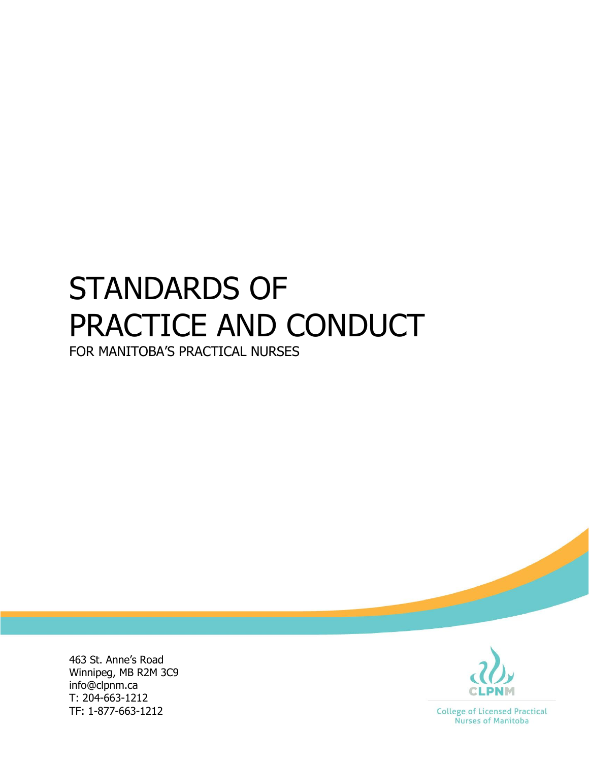# STANDARDS OF PRACTICE AND CONDUCT

FOR MANITOBA'S PRACTICAL NURSES

463 St. Anne's Road Winnipeg, MB R2M 3C9 info@clpnm.ca T: 204-663-1212 TF: 1-877-663-1212



**College of Licensed Practical** Nurses of Manitoba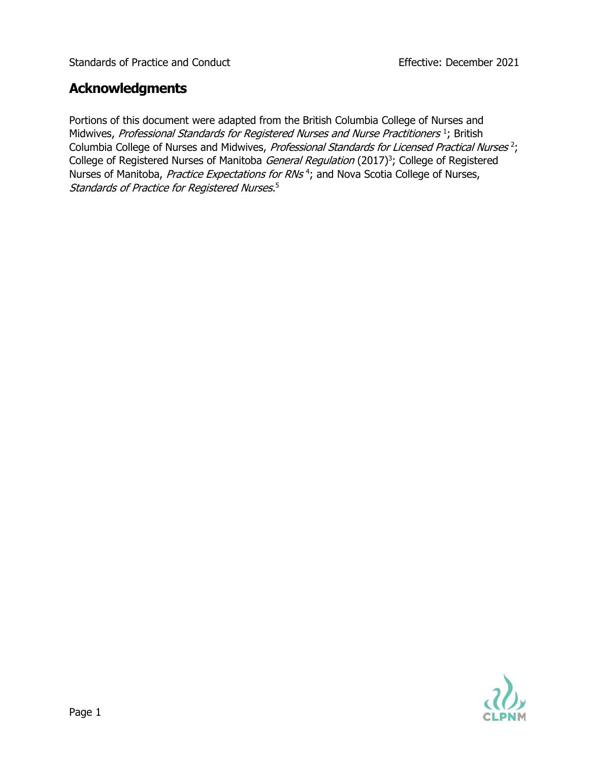## **Acknowledgments**

Portions of this document were adapted from the British Columbia College of Nurses and Midwives, Professional Standards for Registered Nurses and Nurse Practitioners<sup>1</sup>; British Columbia College of Nurses and Midwives, Professional Standards for Licensed Practical Nurses<sup>2</sup>; College of Registered Nurses of Manitoba *General Regulation* (2017)<sup>3</sup>; College of Registered Nurses of Manitoba, *Practice Expectations for RNs*<sup>4</sup>; and Nova Scotia College of Nurses, Standards of Practice for Registered Nurses. 5

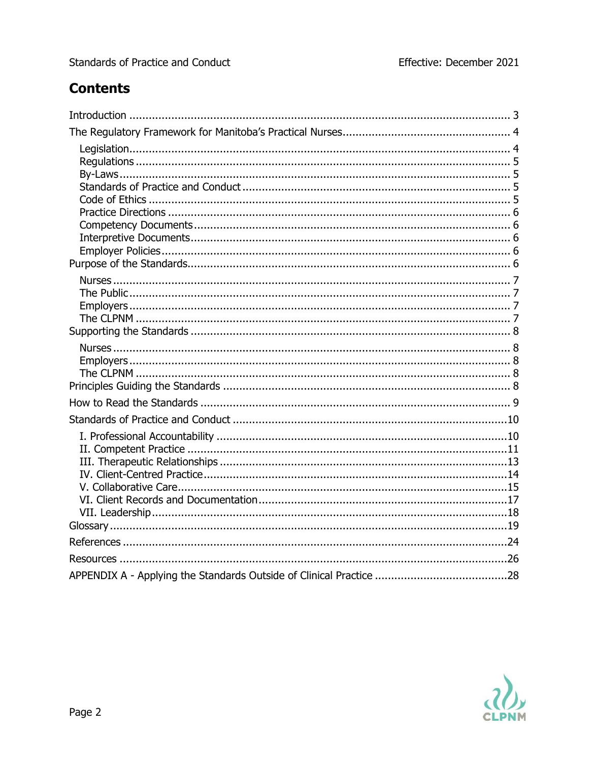# **Contents**

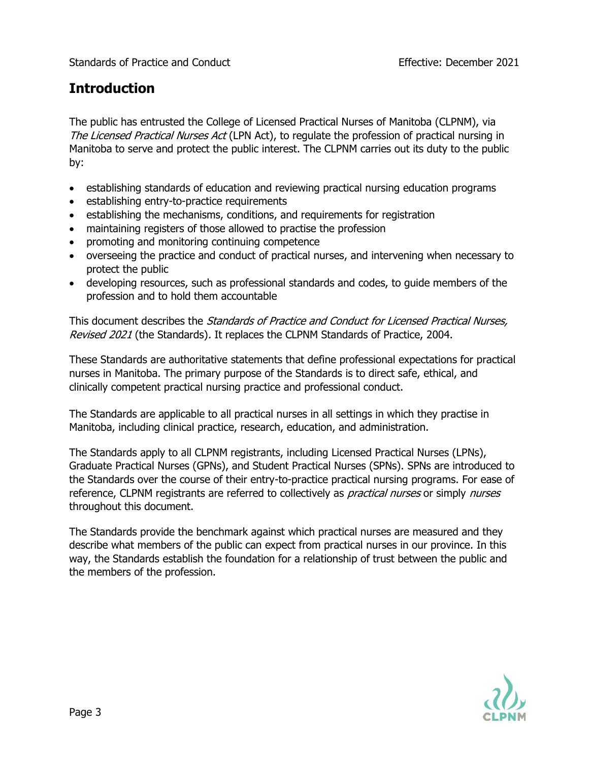## **Introduction**

The public has entrusted the College of Licensed Practical Nurses of Manitoba (CLPNM), via The Licensed Practical Nurses Act (LPN Act), to regulate the profession of practical nursing in Manitoba to serve and protect the public interest. The CLPNM carries out its duty to the public by:

- establishing standards of education and reviewing practical nursing education programs
- establishing entry-to-practice requirements
- establishing the mechanisms, conditions, and requirements for registration
- maintaining registers of those allowed to practise the profession
- promoting and monitoring continuing competence
- overseeing the practice and conduct of practical nurses, and intervening when necessary to protect the public
- developing resources, such as professional standards and codes, to guide members of the profession and to hold them accountable

This document describes the *Standards of Practice and Conduct for Licensed Practical Nurses*, Revised 2021 (the Standards). It replaces the CLPNM Standards of Practice, 2004.

These Standards are authoritative statements that define professional expectations for practical nurses in Manitoba. The primary purpose of the Standards is to direct safe, ethical, and clinically competent practical nursing practice and professional conduct.

The Standards are applicable to all practical nurses in all settings in which they practise in Manitoba, including clinical practice, research, education, and administration.

The Standards apply to all CLPNM registrants, including Licensed Practical Nurses (LPNs), Graduate Practical Nurses (GPNs), and Student Practical Nurses (SPNs). SPNs are introduced to the Standards over the course of their entry-to-practice practical nursing programs. For ease of reference, CLPNM registrants are referred to collectively as *practical nurses* or simply *nurses* throughout this document.

The Standards provide the benchmark against which practical nurses are measured and they describe what members of the public can expect from practical nurses in our province. In this way, the Standards establish the foundation for a relationship of trust between the public and the members of the profession.

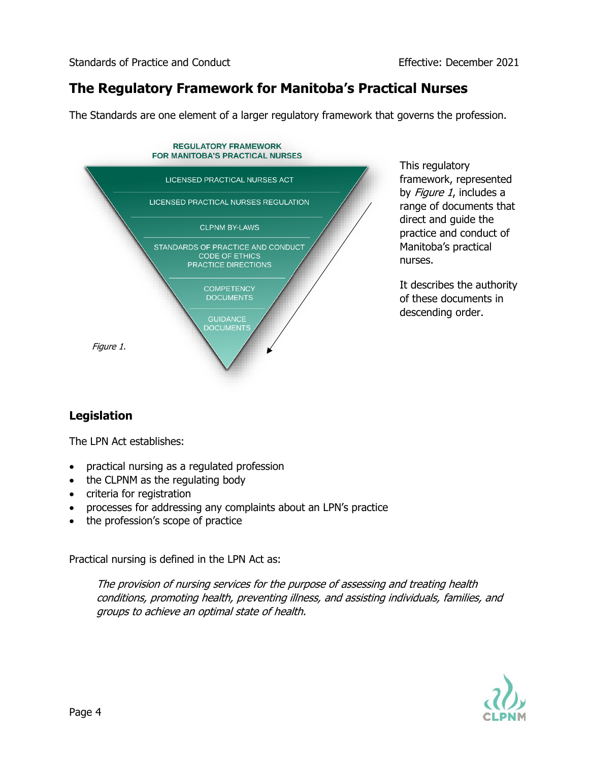## **The Regulatory Framework for Manitoba's Practical Nurses**

The Standards are one element of a larger regulatory framework that governs the profession.



This regulatory framework, represented by Figure 1, includes a range of documents that direct and guide the practice and conduct of Manitoba's practical nurses.

It describes the authority of these documents in descending order.

## **Legislation**

The LPN Act establishes:

- practical nursing as a regulated profession
- the CLPNM as the regulating body
- criteria for registration
- processes for addressing any complaints about an LPN's practice
- the profession's scope of practice

Practical nursing is defined in the LPN Act as:

The provision of nursing services for the purpose of assessing and treating health conditions, promoting health, preventing illness, and assisting individuals, families, and groups to achieve an optimal state of health.

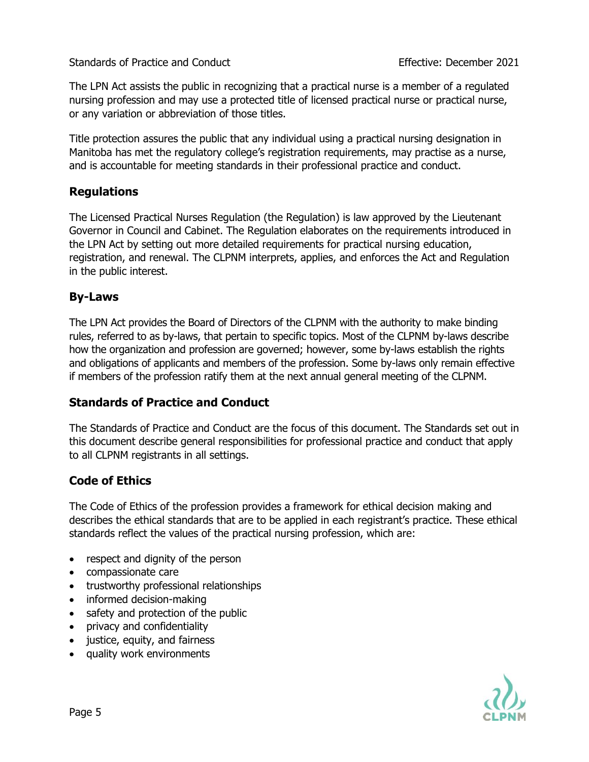The LPN Act assists the public in recognizing that a practical nurse is a member of a regulated nursing profession and may use a protected title of licensed practical nurse or practical nurse, or any variation or abbreviation of those titles.

Title protection assures the public that any individual using a practical nursing designation in Manitoba has met the regulatory college's registration requirements, may practise as a nurse, and is accountable for meeting standards in their professional practice and conduct.

#### **Regulations**

The Licensed Practical Nurses Regulation (the Regulation) is law approved by the Lieutenant Governor in Council and Cabinet. The Regulation elaborates on the requirements introduced in the LPN Act by setting out more detailed requirements for practical nursing education, registration, and renewal. The CLPNM interprets, applies, and enforces the Act and Regulation in the public interest.

#### **By-Laws**

The LPN Act provides the Board of Directors of the CLPNM with the authority to make binding rules, referred to as by-laws, that pertain to specific topics. Most of the CLPNM by-laws describe how the organization and profession are governed; however, some by-laws establish the rights and obligations of applicants and members of the profession. Some by-laws only remain effective if members of the profession ratify them at the next annual general meeting of the CLPNM.

#### **Standards of Practice and Conduct**

The Standards of Practice and Conduct are the focus of this document. The Standards set out in this document describe general responsibilities for professional practice and conduct that apply to all CLPNM registrants in all settings.

#### **[Code of Ethics](https://www.clpnm.ca/wp-content/uploads/CLPNM-Code-of-Ethics-Approved-June-2-2014.pdf)**

The Code of Ethics of the profession provides a framework for ethical decision making and describes the ethical standards that are to be applied in each registrant's practice. These ethical standards reflect the values of the practical nursing profession, which are:

- respect and dignity of the person
- compassionate care
- trustworthy professional relationships
- informed decision-making
- safety and protection of the public
- privacy and confidentiality
- justice, equity, and fairness
- quality work environments

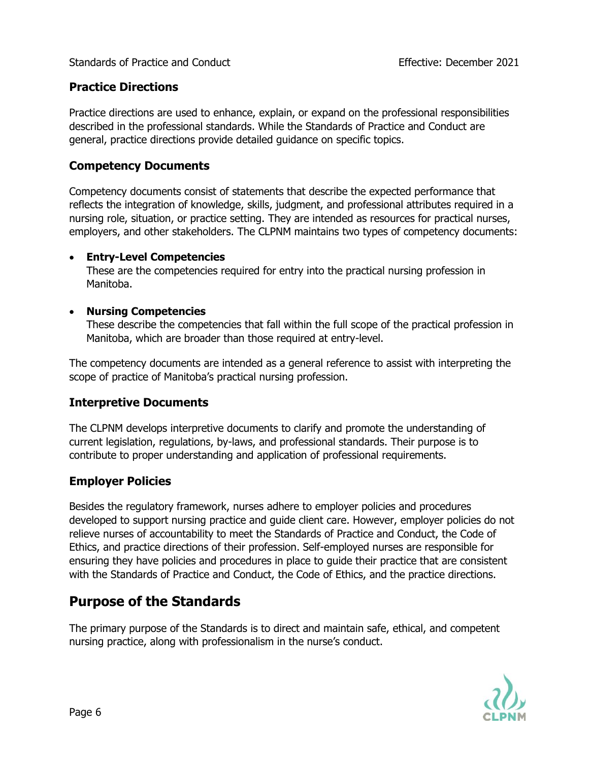#### **Practice Directions**

Practice directions are used to enhance, explain, or expand on the professional responsibilities described in the professional standards. While the Standards of Practice and Conduct are general, practice directions provide detailed guidance on specific topics.

#### **Competency Documents**

Competency documents consist of statements that describe the expected performance that reflects the integration of knowledge, skills, judgment, and professional attributes required in a nursing role, situation, or practice setting. They are intended as resources for practical nurses, employers, and other stakeholders. The CLPNM maintains two types of competency documents:

#### • **Entry-Level Competencies**

These are the competencies required for entry into the practical nursing profession in Manitoba.

#### • **Nursing Competencies**

These describe the competencies that fall within the full scope of the practical profession in Manitoba, which are broader than those required at entry-level.

The competency documents are intended as a general reference to assist with interpreting the scope of practice of Manitoba's practical nursing profession.

#### **Interpretive Documents**

The CLPNM develops interpretive documents to clarify and promote the understanding of current legislation, regulations, by-laws, and professional standards. Their purpose is to contribute to proper understanding and application of professional requirements.

#### **Employer Policies**

Besides the regulatory framework, nurses adhere to employer policies and procedures developed to support nursing practice and guide client care. However, employer policies do not relieve nurses of accountability to meet the Standards of Practice and Conduct, the Code of Ethics, and practice directions of their profession. Self-employed nurses are responsible for ensuring they have policies and procedures in place to guide their practice that are consistent with the Standards of Practice and Conduct, the Code of Ethics, and the practice directions.

## **Purpose of the Standards**

The primary purpose of the Standards is to direct and maintain safe, ethical, and competent nursing practice, along with professionalism in the nurse's conduct.

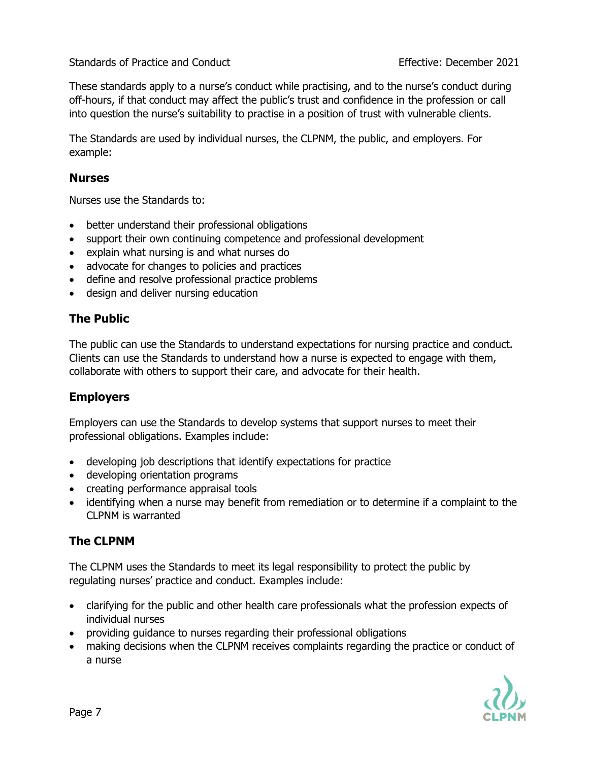These standards apply to a nurse's conduct while practising, and to the nurse's conduct during off-hours, if that conduct may affect the public's trust and confidence in the profession or call into question the nurse's suitability to practise in a position of trust with vulnerable clients.

The Standards are used by individual nurses, the CLPNM, the public, and employers. For example:

#### **Nurses**

Nurses use the Standards to:

- better understand their professional obligations
- support their own continuing competence and professional development
- explain what nursing is and what nurses do
- advocate for changes to policies and practices
- define and resolve professional practice problems
- design and deliver nursing education

#### **The Public**

The public can use the Standards to understand expectations for nursing practice and conduct. Clients can use the Standards to understand how a nurse is expected to engage with them, collaborate with others to support their care, and advocate for their health.

#### **Employers**

Employers can use the Standards to develop systems that support nurses to meet their professional obligations. Examples include:

- developing job descriptions that identify expectations for practice
- developing orientation programs
- creating performance appraisal tools
- identifying when a nurse may benefit from remediation or to determine if a complaint to the CLPNM is warranted

#### **The CLPNM**

The CLPNM uses the Standards to meet its legal responsibility to protect the public by regulating nurses' practice and conduct. Examples include:

- clarifying for the public and other health care professionals what the profession expects of individual nurses
- providing guidance to nurses regarding their professional obligations
- making decisions when the CLPNM receives complaints regarding the practice or conduct of a nurse

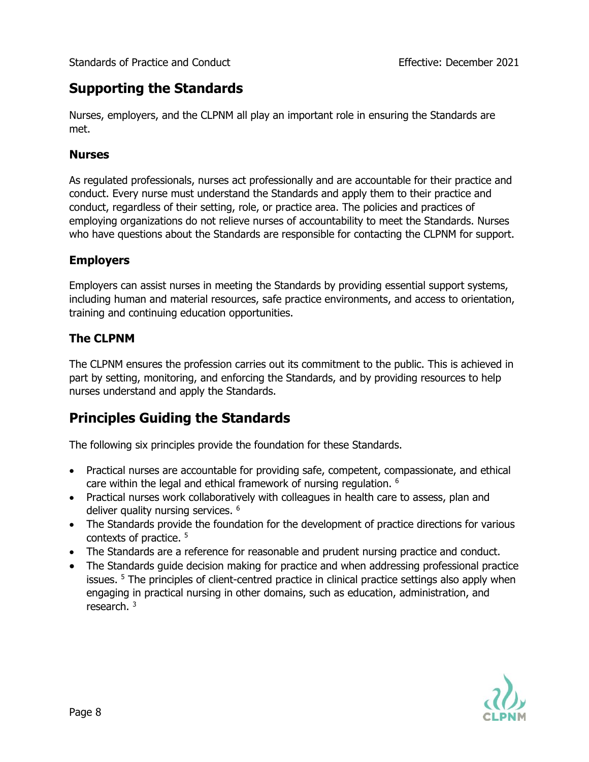## **Supporting the Standards**

Nurses, employers, and the CLPNM all play an important role in ensuring the Standards are met.

#### **Nurses**

As regulated professionals, nurses act professionally and are accountable for their practice and conduct. Every nurse must understand the Standards and apply them to their practice and conduct, regardless of their setting, role, or practice area. The policies and practices of employing organizations do not relieve nurses of accountability to meet the Standards. Nurses who have questions about the Standards are responsible for contacting the CLPNM for support.

#### **Employers**

Employers can assist nurses in meeting the Standards by providing essential support systems, including human and material resources, safe practice environments, and access to orientation, training and continuing education opportunities.

#### **The CLPNM**

The CLPNM ensures the profession carries out its commitment to the public. This is achieved in part by setting, monitoring, and enforcing the Standards, and by providing resources to help nurses understand and apply the Standards.

## **Principles Guiding the Standards**

The following six principles provide the foundation for these Standards.

- Practical nurses are accountable for providing safe, competent, compassionate, and ethical care within the legal and ethical framework of nursing regulation. <sup>6</sup>
- Practical nurses work collaboratively with colleagues in health care to assess, plan and deliver quality nursing services. <sup>6</sup>
- The Standards provide the foundation for the development of practice directions for various contexts of practice.<sup>5</sup>
- The Standards are a reference for reasonable and prudent nursing practice and conduct.
- The Standards guide decision making for practice and when addressing professional practice issues. <sup>5</sup> The principles of client-centred practice in clinical practice settings also apply when engaging in practical nursing in other domains, such as education, administration, and research. <sup>3</sup>

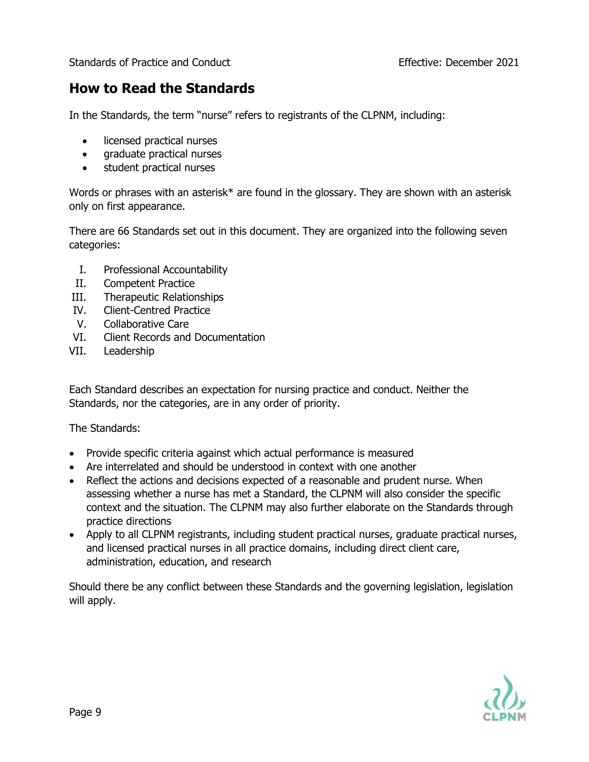## **How to Read the Standards**

In the Standards, the term "nurse" refers to registrants of the CLPNM, including:

- licensed practical nurses
- graduate practical nurses
- student practical nurses

Words or phrases with an asterisk\* are found in the glossary. They are shown with an asterisk only on first appearance.

There are 66 Standards set out in this document. They are organized into the following seven categories:

- I. Professional Accountability
- II. Competent Practice
- III. Therapeutic Relationships
- IV. Client-Centred Practice
- V. Collaborative Care
- VI. Client Records and Documentation
- VII. Leadership

Each Standard describes an expectation for nursing practice and conduct. Neither the Standards, nor the categories, are in any order of priority.

The Standards:

- Provide specific criteria against which actual performance is measured
- Are interrelated and should be understood in context with one another
- Reflect the actions and decisions expected of a reasonable and prudent nurse. When assessing whether a nurse has met a Standard, the CLPNM will also consider the specific context and the situation. The CLPNM may also further elaborate on the Standards through practice directions
- Apply to all CLPNM registrants, including student practical nurses, graduate practical nurses, and licensed practical nurses in all practice domains, including direct client care, administration, education, and research

Should there be any conflict between these Standards and the governing legislation, legislation will apply.

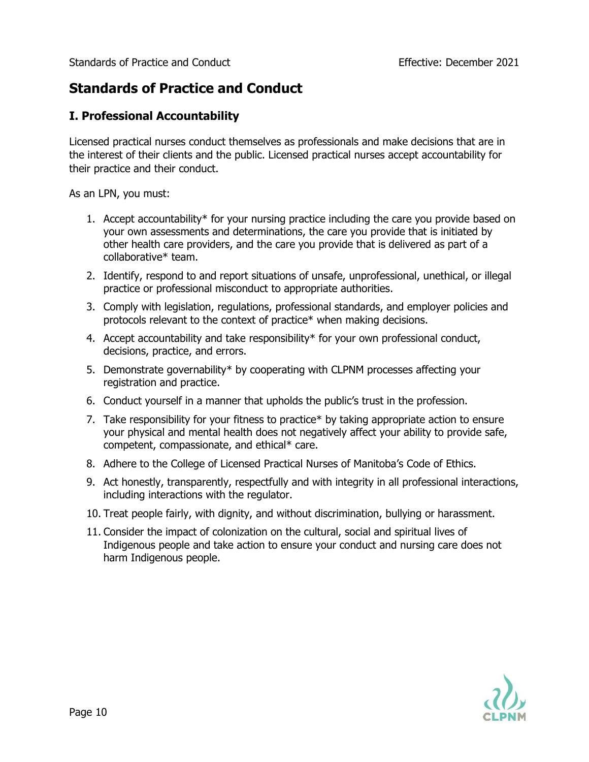## **Standards of Practice and Conduct**

#### **I. Professional Accountability**

Licensed practical nurses conduct themselves as professionals and make decisions that are in the interest of their clients and the public. Licensed practical nurses accept accountability for their practice and their conduct.

As an LPN, you must:

- 1. Accept accountability\* for your nursing practice including the care you provide based on your own assessments and determinations, the care you provide that is initiated by other health care providers, and the care you provide that is delivered as part of a collaborative\* team.
- 2. Identify, respond to and report situations of unsafe, unprofessional, unethical, or illegal practice or professional misconduct to appropriate authorities.
- 3. Comply with legislation, regulations, professional standards, and employer policies and protocols relevant to the context of practice\* when making decisions.
- 4. Accept accountability and take responsibility\* for your own professional conduct, decisions, practice, and errors.
- 5. Demonstrate governability\* by cooperating with CLPNM processes affecting your registration and practice.
- 6. Conduct yourself in a manner that upholds the public's trust in the profession.
- 7. Take responsibility for your fitness to practice\* by taking appropriate action to ensure your physical and mental health does not negatively affect your ability to provide safe, competent, compassionate, and ethical\* care.
- 8. Adhere to the College of Licensed Practical Nurses of Manitoba's Code of Ethics.
- 9. Act honestly, transparently, respectfully and with integrity in all professional interactions, including interactions with the regulator.
- 10. Treat people fairly, with dignity, and without discrimination, bullying or harassment.
- 11. Consider the impact of colonization on the cultural, social and spiritual lives of Indigenous people and take action to ensure your conduct and nursing care does not harm Indigenous people.

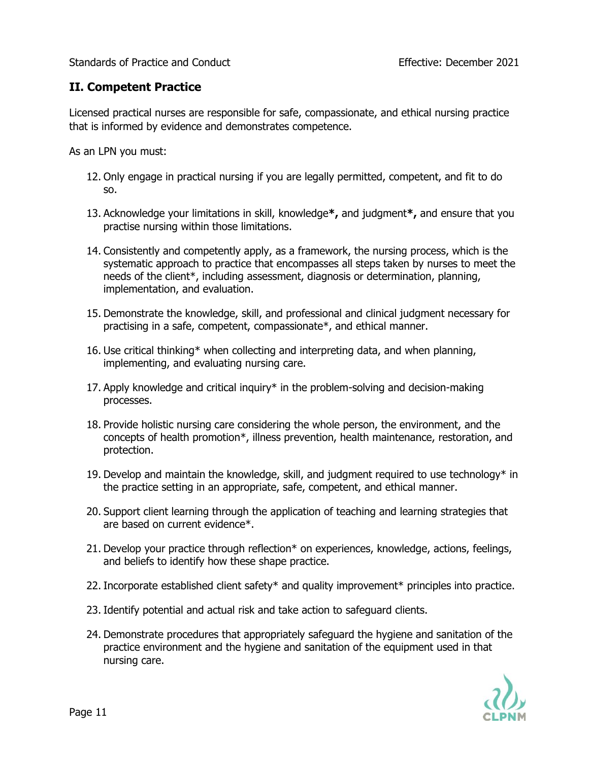#### **II. Competent Practice**

Licensed practical nurses are responsible for safe, compassionate, and ethical nursing practice that is informed by evidence and demonstrates competence.

As an LPN you must:

- 12. Only engage in practical nursing if you are legally permitted, competent, and fit to do so.
- 13. Acknowledge your limitations in skill, knowledge**\*,** and judgment**\*,** and ensure that you practise nursing within those limitations.
- 14. Consistently and competently apply, as a framework, the nursing process, which is the systematic approach to practice that encompasses all steps taken by nurses to meet the needs of the client\*, including assessment, diagnosis or determination, planning, implementation, and evaluation.
- 15. Demonstrate the knowledge, skill, and professional and clinical judgment necessary for practising in a safe, competent, compassionate\*, and ethical manner.
- 16. Use critical thinking\* when collecting and interpreting data, and when planning, implementing, and evaluating nursing care.
- 17. Apply knowledge and critical inquiry\* in the problem-solving and decision-making processes.
- 18. Provide holistic nursing care considering the whole person, the environment, and the concepts of health promotion\*, illness prevention, health maintenance, restoration, and protection.
- 19. Develop and maintain the knowledge, skill, and judgment required to use technology\* in the practice setting in an appropriate, safe, competent, and ethical manner.
- 20. Support client learning through the application of teaching and learning strategies that are based on current evidence\*.
- 21. Develop your practice through reflection\* on experiences, knowledge, actions, feelings, and beliefs to identify how these shape practice.
- 22. Incorporate established client safety\* and quality improvement\* principles into practice.
- 23. Identify potential and actual risk and take action to safeguard clients.
- 24. Demonstrate procedures that appropriately safeguard the hygiene and sanitation of the practice environment and the hygiene and sanitation of the equipment used in that nursing care.

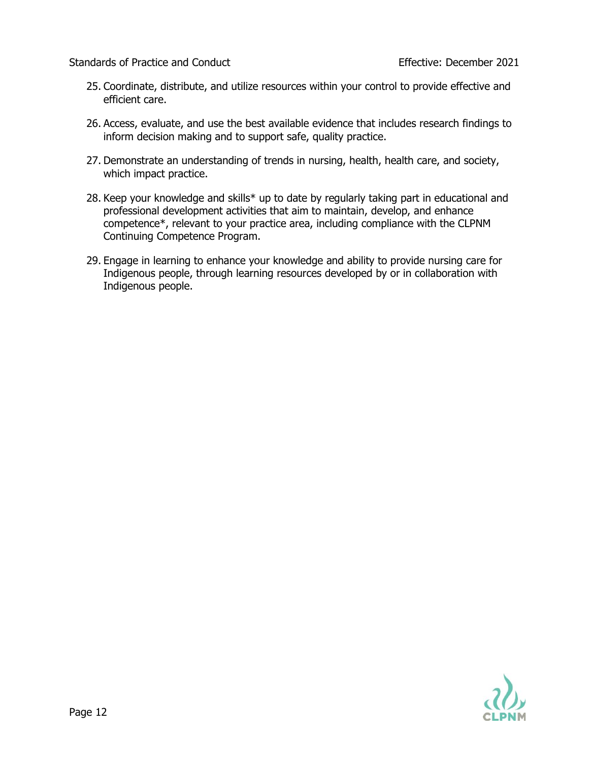- 25. Coordinate, distribute, and utilize resources within your control to provide effective and efficient care.
- 26. Access, evaluate, and use the best available evidence that includes research findings to inform decision making and to support safe, quality practice.
- 27. Demonstrate an understanding of trends in nursing, health, health care, and society, which impact practice.
- 28. Keep your knowledge and skills\* up to date by regularly taking part in educational and professional development activities that aim to maintain, develop, and enhance competence\*, relevant to your practice area, including compliance with the CLPNM Continuing Competence Program.
- 29. Engage in learning to enhance your knowledge and ability to provide nursing care for Indigenous people, through learning resources developed by or in collaboration with Indigenous people.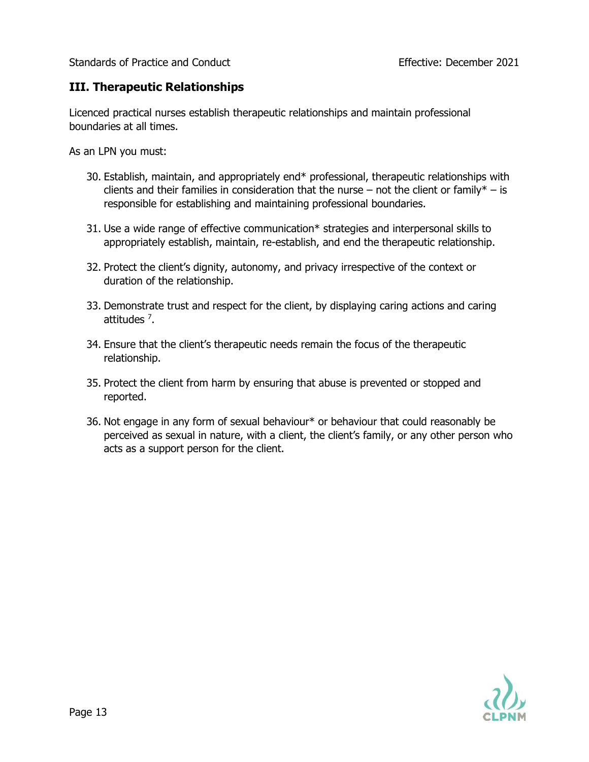#### **III. Therapeutic Relationships**

Licenced practical nurses establish therapeutic relationships and maintain professional boundaries at all times.

As an LPN you must:

- 30. Establish, maintain, and appropriately end\* professional, therapeutic relationships with clients and their families in consideration that the nurse – not the client or family\* – is responsible for establishing and maintaining professional boundaries.
- 31. Use a wide range of effective communication\* strategies and interpersonal skills to appropriately establish, maintain, re-establish, and end the therapeutic relationship.
- 32. Protect the client's dignity, autonomy, and privacy irrespective of the context or duration of the relationship.
- 33. Demonstrate trust and respect for the client, by displaying caring actions and caring attitudes <sup>7</sup>.
- 34. Ensure that the client's therapeutic needs remain the focus of the therapeutic relationship.
- 35. Protect the client from harm by ensuring that abuse is prevented or stopped and reported.
- 36. Not engage in any form of sexual behaviour\* or behaviour that could reasonably be perceived as sexual in nature, with a client, the client's family, or any other person who acts as a support person for the client.

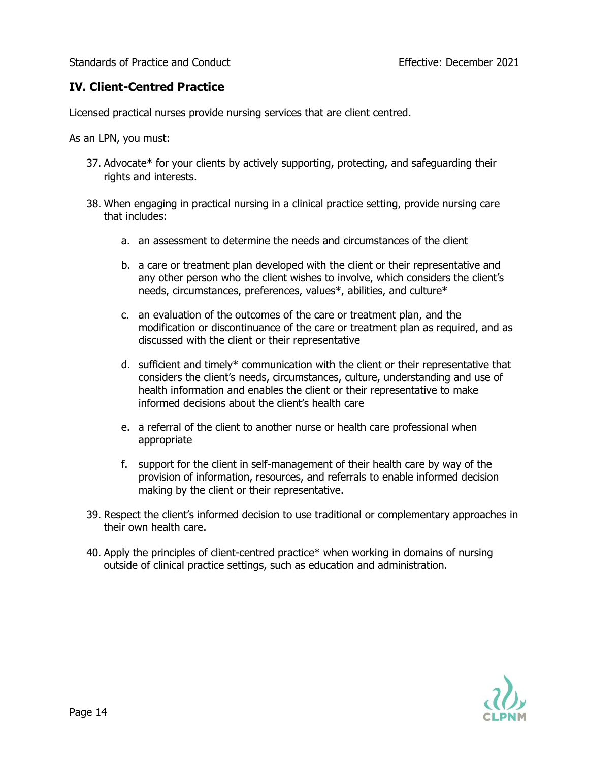#### **IV. Client-Centred Practice**

Licensed practical nurses provide nursing services that are client centred.

As an LPN, you must:

- 37. Advocate\* for your clients by actively supporting, protecting, and safeguarding their rights and interests.
- 38. When engaging in practical nursing in a clinical practice setting, provide nursing care that includes:
	- a. an assessment to determine the needs and circumstances of the client
	- b. a care or treatment plan developed with the client or their representative and any other person who the client wishes to involve, which considers the client's needs, circumstances, preferences, values\*, abilities, and culture\*
	- c. an evaluation of the outcomes of the care or treatment plan, and the modification or discontinuance of the care or treatment plan as required, and as discussed with the client or their representative
	- d. sufficient and timely\* communication with the client or their representative that considers the client's needs, circumstances, culture, understanding and use of health information and enables the client or their representative to make informed decisions about the client's health care
	- e. a referral of the client to another nurse or health care professional when appropriate
	- f. support for the client in self-management of their health care by way of the provision of information, resources, and referrals to enable informed decision making by the client or their representative.
- 39. Respect the client's informed decision to use traditional or complementary approaches in their own health care.
- 40. Apply the principles of client-centred practice\* when working in domains of nursing outside of clinical practice settings, such as education and administration.

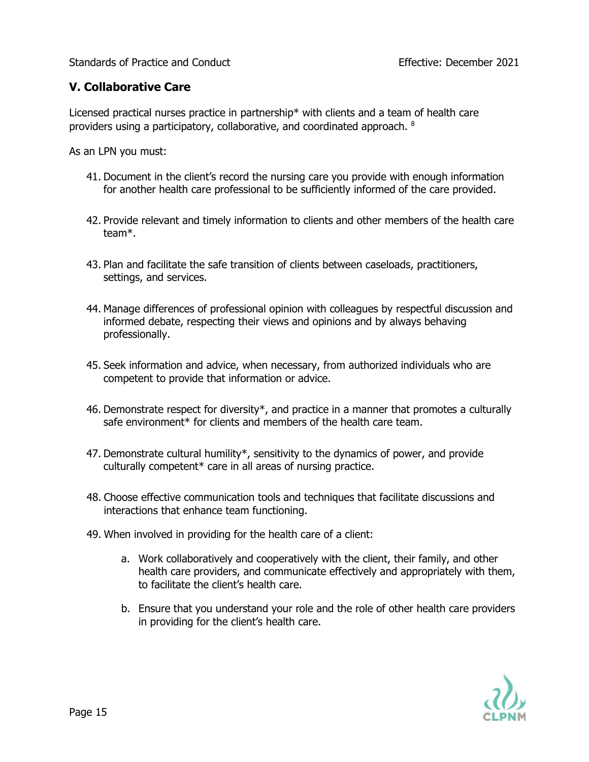#### **V. Collaborative Care**

Licensed practical nurses practice in partnership\* with clients and a team of health care providers using a participatory, collaborative, and coordinated approach.  $^8$ 

As an LPN you must:

- 41. Document in the client's record the nursing care you provide with enough information for another health care professional to be sufficiently informed of the care provided.
- 42. Provide relevant and timely information to clients and other members of the health care team\*.
- 43. Plan and facilitate the safe transition of clients between caseloads, practitioners, settings, and services.
- 44. Manage differences of professional opinion with colleagues by respectful discussion and informed debate, respecting their views and opinions and by always behaving professionally.
- 45. Seek information and advice, when necessary, from authorized individuals who are competent to provide that information or advice.
- 46. Demonstrate respect for diversity\*, and practice in a manner that promotes a culturally safe environment\* for clients and members of the health care team.
- 47. Demonstrate cultural humility\*, sensitivity to the dynamics of power, and provide culturally competent\* care in all areas of nursing practice.
- 48. Choose effective communication tools and techniques that facilitate discussions and interactions that enhance team functioning.
- 49. When involved in providing for the health care of a client:
	- a. Work collaboratively and cooperatively with the client, their family, and other health care providers, and communicate effectively and appropriately with them, to facilitate the client's health care.
	- b. Ensure that you understand your role and the role of other health care providers in providing for the client's health care.

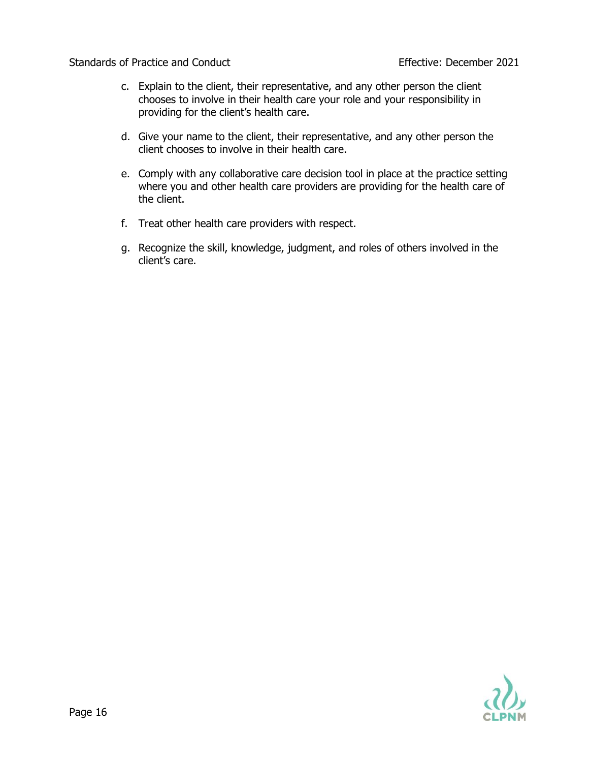- c. Explain to the client, their representative, and any other person the client chooses to involve in their health care your role and your responsibility in providing for the client's health care.
- d. Give your name to the client, their representative, and any other person the client chooses to involve in their health care.
- e. Comply with any collaborative care decision tool in place at the practice setting where you and other health care providers are providing for the health care of the client.
- f. Treat other health care providers with respect.
- g. Recognize the skill, knowledge, judgment, and roles of others involved in the client's care.

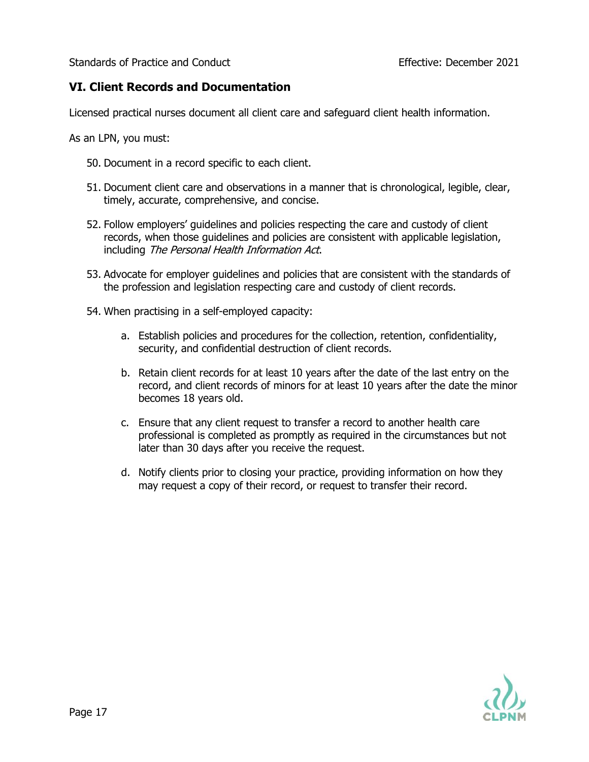#### **VI. Client Records and Documentation**

Licensed practical nurses document all client care and safeguard client health information.

As an LPN, you must:

- 50. Document in a record specific to each client.
- 51. Document client care and observations in a manner that is chronological, legible, clear, timely, accurate, comprehensive, and concise.
- 52. Follow employers' guidelines and policies respecting the care and custody of client records, when those guidelines and policies are consistent with applicable legislation, including The Personal Health Information Act.
- 53. Advocate for employer guidelines and policies that are consistent with the standards of the profession and legislation respecting care and custody of client records.
- 54. When practising in a self-employed capacity:
	- a. Establish policies and procedures for the collection, retention, confidentiality, security, and confidential destruction of client records.
	- b. Retain client records for at least 10 years after the date of the last entry on the record, and client records of minors for at least 10 years after the date the minor becomes 18 years old.
	- c. Ensure that any client request to transfer a record to another health care professional is completed as promptly as required in the circumstances but not later than 30 days after you receive the request.
	- d. Notify clients prior to closing your practice, providing information on how they may request a copy of their record, or request to transfer their record.

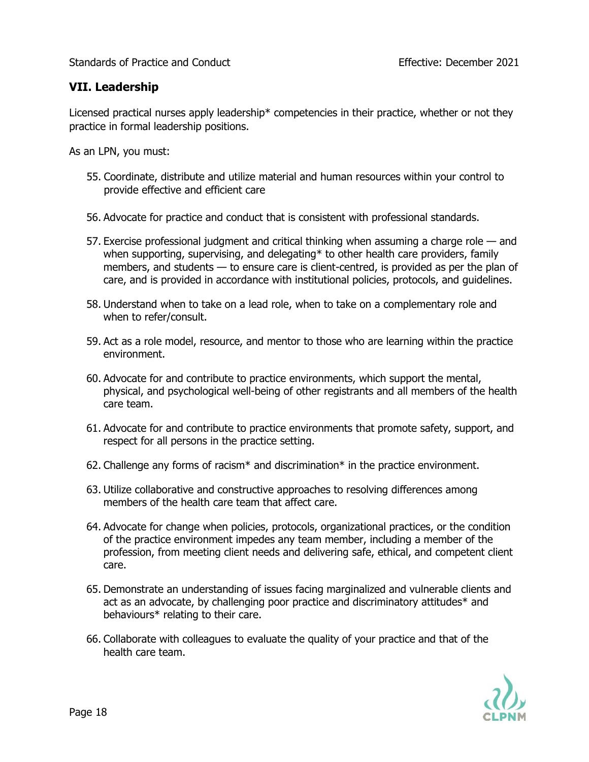#### **VII. Leadership**

Licensed practical nurses apply leadership\* competencies in their practice, whether or not they practice in formal leadership positions.

As an LPN, you must:

- 55. Coordinate, distribute and utilize material and human resources within your control to provide effective and efficient care
- 56. Advocate for practice and conduct that is consistent with professional standards.
- 57. Exercise professional judgment and critical thinking when assuming a charge role and when supporting, supervising, and delegating\* to other health care providers, family members, and students — to ensure care is client-centred, is provided as per the plan of care, and is provided in accordance with institutional policies, protocols, and guidelines.
- 58. Understand when to take on a lead role, when to take on a complementary role and when to refer/consult.
- 59. Act as a role model, resource, and mentor to those who are learning within the practice environment.
- 60. Advocate for and contribute to practice environments, which support the mental, physical, and psychological well-being of other registrants and all members of the health care team.
- 61. Advocate for and contribute to practice environments that promote safety, support, and respect for all persons in the practice setting.
- 62. Challenge any forms of racism $*$  and discrimination $*$  in the practice environment.
- 63. Utilize collaborative and constructive approaches to resolving differences among members of the health care team that affect care.
- 64. Advocate for change when policies, protocols, organizational practices, or the condition of the practice environment impedes any team member, including a member of the profession, from meeting client needs and delivering safe, ethical, and competent client care.
- 65. Demonstrate an understanding of issues facing marginalized and vulnerable clients and act as an advocate, by challenging poor practice and discriminatory attitudes\* and behaviours\* relating to their care.
- 66. Collaborate with colleagues to evaluate the quality of your practice and that of the health care team.

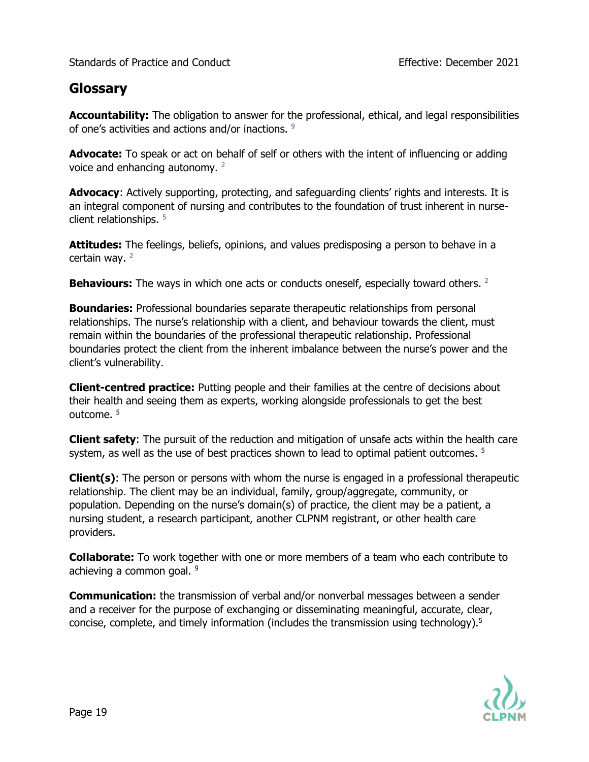## **Glossary**

**Accountability:** The obligation to answer for the professional, ethical, and legal responsibilities of one's activities and actions and/or inactions. <sup>9</sup>

**Advocate:** To speak or act on behalf of self or others with the intent of influencing or adding voice and enhancing autonomy. <sup>2</sup>

**Advocacy**: Actively supporting, protecting, and safeguarding clients' rights and interests. It is an integral component of nursing and contributes to the foundation of trust inherent in nurseclient relationships. <sup>5</sup>

**Attitudes:** The feelings, beliefs, opinions, and values predisposing a person to behave in a certain way. 2

**Behaviours:** The ways in which one acts or conducts oneself, especially toward others. <sup>2</sup>

**Boundaries:** Professional boundaries separate therapeutic relationships from personal relationships. The nurse's relationship with a client, and behaviour towards the client, must remain within the boundaries of the professional therapeutic relationship. Professional boundaries protect the client from the inherent imbalance between the nurse's power and the client's vulnerability.

**Client-centred practice:** Putting people and their families at the centre of decisions about their health and seeing them as experts, working alongside professionals to get the best outcome. <sup>5</sup>

**Client safety**: The pursuit of the reduction and mitigation of unsafe acts within the health care system, as well as the use of best practices shown to lead to optimal patient outcomes. <sup>5</sup>

**Client(s)**: The person or persons with whom the nurse is engaged in a professional therapeutic relationship. The client may be an individual, family, group/aggregate, community, or population. Depending on the nurse's domain(s) of practice, the client may be a patient, a nursing student, a research participant, another CLPNM registrant, or other health care providers.

**Collaborate:** To work together with one or more members of a team who each contribute to achieving a common goal. <sup>9</sup>

**Communication:** the transmission of verbal and/or nonverbal messages between a sender and a receiver for the purpose of exchanging or disseminating meaningful, accurate, clear, concise, complete, and timely information (includes the transmission using technology).5

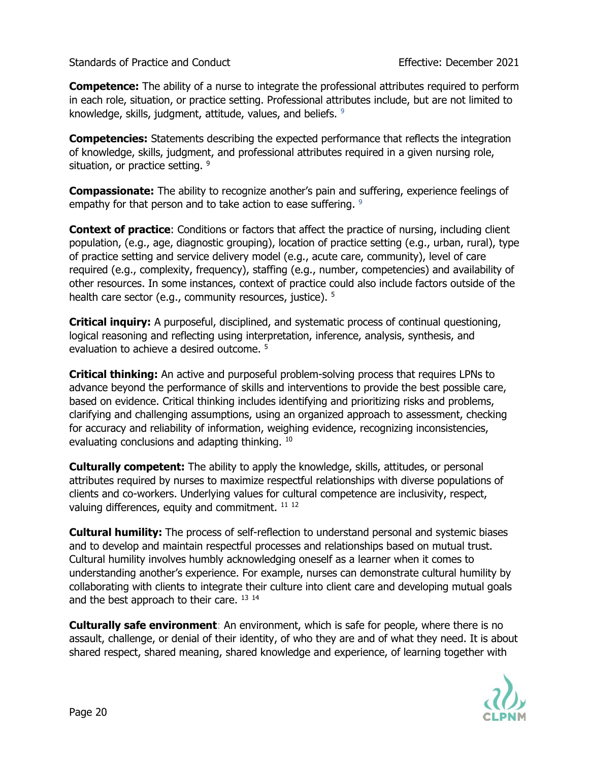**Competence:** The ability of a nurse to integrate the professional attributes required to perform in each role, situation, or practice setting. Professional attributes include, but are not limited to knowledge, skills, judgment, attitude, values, and beliefs. <sup>9</sup>

**Competencies:** Statements describing the expected performance that reflects the integration of knowledge, skills, judgment, and professional attributes required in a given nursing role, situation, or practice setting. <sup>9</sup>

**Compassionate:** The ability to recognize another's pain and suffering, experience feelings of empathy for that person and to take action to ease suffering. <sup>9</sup>

**Context of practice**: Conditions or factors that affect the practice of nursing, including client population, (e.g., age, diagnostic grouping), location of practice setting (e.g., urban, rural), type of practice setting and service delivery model (e.g., acute care, community), level of care required (e.g., complexity, frequency), staffing (e.g., number, competencies) and availability of other resources. In some instances, context of practice could also include factors outside of the health care sector (e.g., community resources, justice). <sup>5</sup>

**Critical inquiry:** A purposeful, disciplined, and systematic process of continual questioning, logical reasoning and reflecting using interpretation, inference, analysis, synthesis, and evaluation to achieve a desired outcome.<sup>5</sup>

**Critical thinking:** An active and purposeful problem-solving process that requires LPNs to advance beyond the performance of skills and interventions to provide the best possible care, based on evidence. Critical thinking includes identifying and prioritizing risks and problems, clarifying and challenging assumptions, using an organized approach to assessment, checking for accuracy and reliability of information, weighing evidence, recognizing inconsistencies, evaluating conclusions and adapting thinking. 10

**Culturally competent:** The ability to apply the knowledge, skills, attitudes, or personal attributes required by nurses to maximize respectful relationships with diverse populations of clients and co-workers. Underlying values for cultural competence are inclusivity, respect, valuing differences, equity and commitment. <sup>11 12</sup>

**Cultural humility:** The process of self-reflection to understand personal and systemic biases and to develop and maintain respectful processes and relationships based on mutual trust. Cultural humility involves humbly acknowledging oneself as a learner when it comes to understanding another's experience. For example, nurses can demonstrate cultural humility by collaborating with clients to integrate their culture into client care and developing mutual goals and the best approach to their care. 13 14

**Culturally safe environment**: An environment, which is safe for people, where there is no assault, challenge, or denial of their identity, of who they are and of what they need. It is about shared respect, shared meaning, shared knowledge and experience, of learning together with

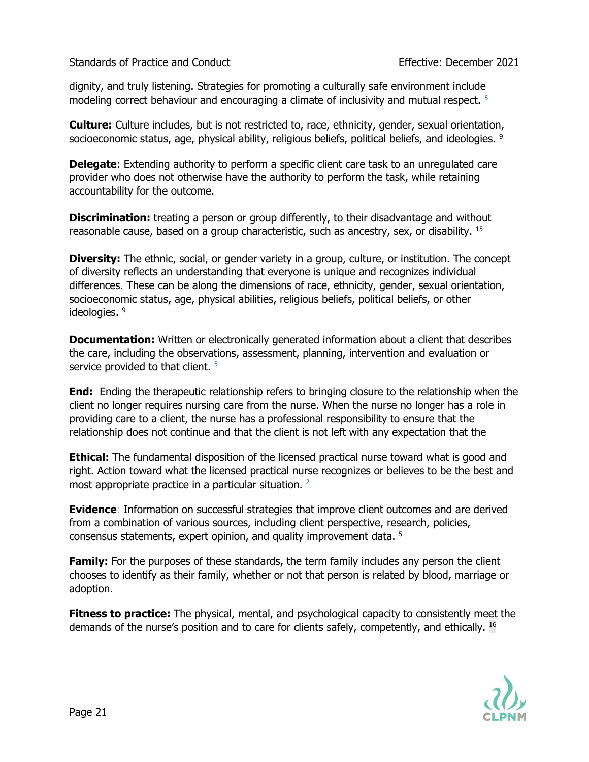dignity, and truly listening. Strategies for promoting a culturally safe environment include modeling correct behaviour and encouraging a climate of inclusivity and mutual respect.<sup>5</sup>

**Culture:** Culture includes, but is not restricted to, race, ethnicity, gender, sexual orientation, socioeconomic status, age, physical ability, religious beliefs, political beliefs, and ideologies. <sup>9</sup>

**Delegate:** Extending authority to perform a specific client care task to an unregulated care provider who does not otherwise have the authority to perform the task, while retaining accountability for the outcome.

**Discrimination:** treating a person or group differently, to their disadvantage and without reasonable cause, based on a group characteristic, such as ancestry, sex, or disability. <sup>15</sup>

**Diversity:** The ethnic, social, or gender variety in a group, culture, or institution. The concept of diversity reflects an understanding that everyone is unique and recognizes individual differences. These can be along the dimensions of race, ethnicity, gender, sexual orientation, socioeconomic status, age, physical abilities, religious beliefs, political beliefs, or other ideologies. 9

**Documentation:** Written or electronically generated information about a client that describes the care, including the observations, assessment, planning, intervention and evaluation or service provided to that client.<sup>5</sup>

**End:** Ending the therapeutic relationship refers to bringing closure to the relationship when the client no longer requires nursing care from the nurse. When the nurse no longer has a role in providing care to a client, the nurse has a professional responsibility to ensure that the relationship does not continue and that the client is not left with any expectation that the

**Ethical:** The fundamental disposition of the licensed practical nurse toward what is good and right. Action toward what the licensed practical nurse recognizes or believes to be the best and most appropriate practice in a particular situation. <sup>2</sup>

**Evidence**: Information on successful strategies that improve client outcomes and are derived from a combination of various sources, including client perspective, research, policies, consensus statements, expert opinion, and quality improvement data. <sup>5</sup>

**Family:** For the purposes of these standards, the term family includes any person the client chooses to identify as their family, whether or not that person is related by blood, marriage or adoption.

**Fitness to practice:** The physical, mental, and psychological capacity to consistently meet the demands of the nurse's position and to care for clients safely, competently, and ethically. <sup>16</sup>

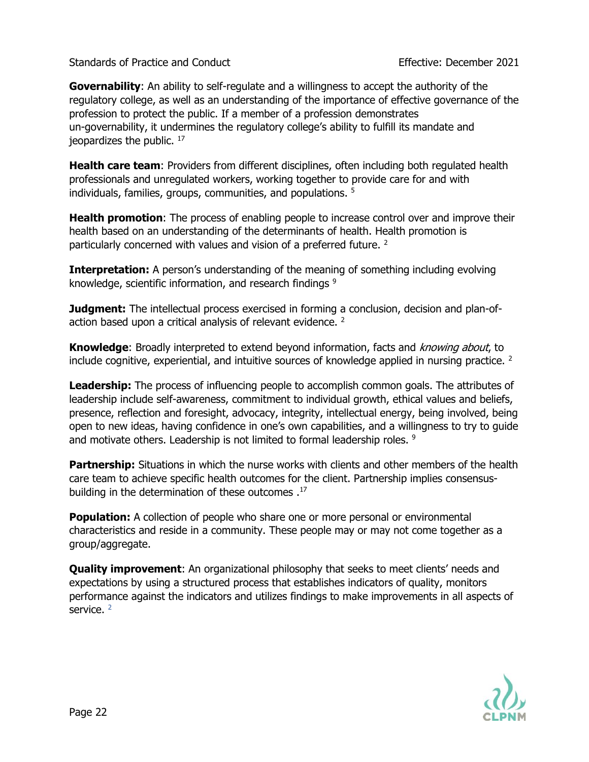**Governability**: An ability to self-regulate and a willingness to accept the authority of the regulatory college, as well as an understanding of the importance of effective governance of the profession to protect the public. If a member of a profession demonstrates un-governability, it undermines the regulatory college's ability to fulfill its mandate and jeopardizes the public. <sup>17</sup>

**Health care team**: Providers from different disciplines, often including both regulated health professionals and unregulated workers, working together to provide care for and with individuals, families, groups, communities, and populations. <sup>5</sup>

**Health promotion**: The process of enabling people to increase control over and improve their health based on an understanding of the determinants of health. Health promotion is particularly concerned with values and vision of a preferred future.<sup>2</sup>

**Interpretation:** A person's understanding of the meaning of something including evolving knowledge, scientific information, and research findings <sup>9</sup>

**Judgment:** The intellectual process exercised in forming a conclusion, decision and plan-ofaction based upon a critical analysis of relevant evidence. <sup>2</sup>

**Knowledge**: Broadly interpreted to extend beyond information, facts and *knowing about*, to include cognitive, experiential, and intuitive sources of knowledge applied in nursing practice. <sup>2</sup>

**Leadership:** The process of influencing people to accomplish common goals. The attributes of leadership include self-awareness, commitment to individual growth, ethical values and beliefs, presence, reflection and foresight, advocacy, integrity, intellectual energy, being involved, being open to new ideas, having confidence in one's own capabilities, and a willingness to try to guide and motivate others. Leadership is not limited to formal leadership roles. <sup>9</sup>

**Partnership:** Situations in which the nurse works with clients and other members of the health care team to achieve specific health outcomes for the client. Partnership implies consensusbuilding in the determination of these outcomes . 17

**Population:** A collection of people who share one or more personal or environmental characteristics and reside in a community. These people may or may not come together as a group/aggregate.

**Quality improvement**: An organizational philosophy that seeks to meet clients' needs and expectations by using a structured process that establishes indicators of quality, monitors performance against the indicators and utilizes findings to make improvements in all aspects of service.<sup>2</sup>

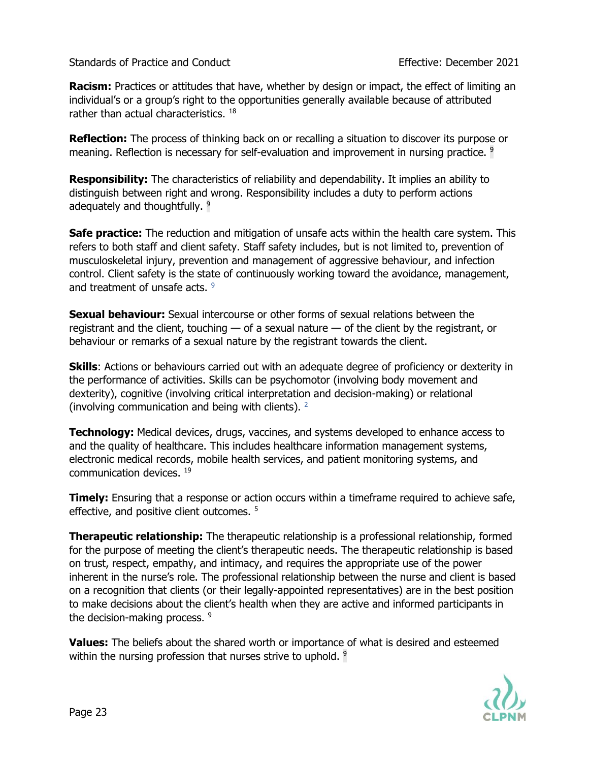**Racism:** Practices or attitudes that have, whether by design or impact, the effect of limiting an individual's or a group's right to the opportunities generally available because of attributed rather than actual characteristics. <sup>18</sup>

**Reflection:** The process of thinking back on or recalling a situation to discover its purpose or meaning. Reflection is necessary for self-evaluation and improvement in nursing practice. <sup>9</sup>

**Responsibility:** The characteristics of reliability and dependability. It implies an ability to distinguish between right and wrong. Responsibility includes a duty to perform actions adequately and thoughtfully. <sup>9</sup>

**Safe practice:** The reduction and mitigation of unsafe acts within the health care system. This refers to both staff and client safety. Staff safety includes, but is not limited to, prevention of musculoskeletal injury, prevention and management of aggressive behaviour, and infection control. Client safety is the state of continuously working toward the avoidance, management, and treatment of unsafe acts. 9

**Sexual behaviour:** Sexual intercourse or other forms of sexual relations between the registrant and the client, touching — of a sexual nature — of the client by the registrant, or behaviour or remarks of a sexual nature by the registrant towards the client.

**Skills**: Actions or behaviours carried out with an adequate degree of proficiency or dexterity in the performance of activities. Skills can be psychomotor (involving body movement and dexterity), cognitive (involving critical interpretation and decision-making) or relational (involving communication and being with clients). <sup>2</sup>

**Technology:** Medical devices, drugs, vaccines, and systems developed to enhance access to and the quality of healthcare. This includes healthcare information management systems, electronic medical records, mobile health services, and patient monitoring systems, and communication devices. <sup>19</sup>

**Timely:** Ensuring that a response or action occurs within a timeframe required to achieve safe, effective, and positive client outcomes.<sup>5</sup>

**Therapeutic relationship:** The therapeutic relationship is a professional relationship, formed for the purpose of meeting the client's therapeutic needs. The therapeutic relationship is based on trust, respect, empathy, and intimacy, and requires the appropriate use of the power inherent in the nurse's role. The professional relationship between the nurse and client is based on a recognition that clients (or their legally-appointed representatives) are in the best position to make decisions about the client's health when they are active and informed participants in the decision-making process.  $9$ 

**Values:** The beliefs about the shared worth or importance of what is desired and esteemed within the nursing profession that nurses strive to uphold. <sup>9</sup>

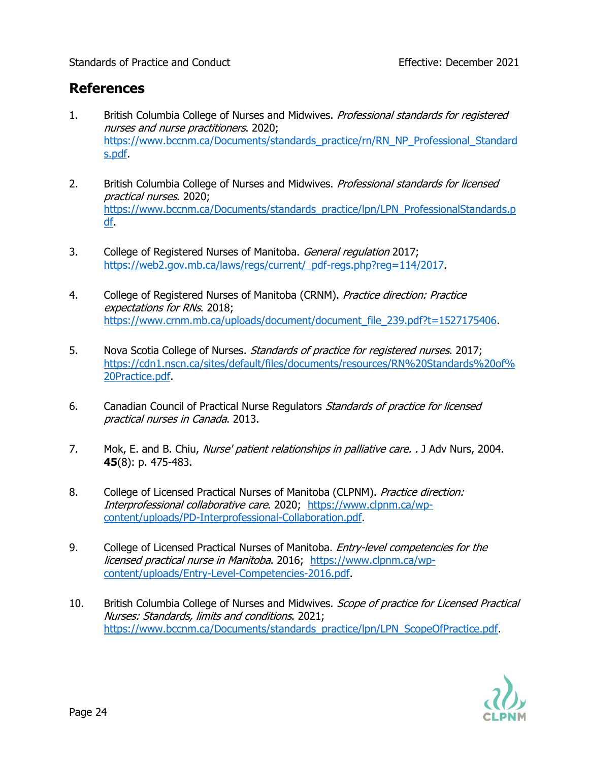## **References**

- 1. British Columbia College of Nurses and Midwives. Professional standards for registered nurses and nurse practitioners. 2020; [https://www.bccnm.ca/Documents/standards\\_practice/rn/RN\\_NP\\_Professional\\_Standard](https://www.bccnm.ca/Documents/standards_practice/rn/RN_NP_Professional_Standards.pdf) [s.pdf.](https://www.bccnm.ca/Documents/standards_practice/rn/RN_NP_Professional_Standards.pdf)
- 2. British Columbia College of Nurses and Midwives. *Professional standards for licensed* practical nurses. 2020; [https://www.bccnm.ca/Documents/standards\\_practice/lpn/LPN\\_ProfessionalStandards.p](https://www.bccnm.ca/Documents/standards_practice/lpn/LPN_ProfessionalStandards.pdf) [df.](https://www.bccnm.ca/Documents/standards_practice/lpn/LPN_ProfessionalStandards.pdf)
- 3. College of Registered Nurses of Manitoba. General regulation 2017; [https://web2.gov.mb.ca/laws/regs/current/\\_pdf-regs.php?reg=114/2017.](https://web2.gov.mb.ca/laws/regs/current/_pdf-regs.php?reg=114/2017)
- 4. College of Registered Nurses of Manitoba (CRNM). Practice direction: Practice expectations for RNs. 2018; [https://www.crnm.mb.ca/uploads/document/document\\_file\\_239.pdf?t=1527175406.](https://www.crnm.mb.ca/uploads/document/document_file_239.pdf?t=1527175406)
- 5. Nova Scotia College of Nurses. Standards of practice for registered nurses. 2017; [https://cdn1.nscn.ca/sites/default/files/documents/resources/RN%20Standards%20of%](https://cdn1.nscn.ca/sites/default/files/documents/resources/RN%20Standards%20of%20Practice.pdf) [20Practice.pdf.](https://cdn1.nscn.ca/sites/default/files/documents/resources/RN%20Standards%20of%20Practice.pdf)
- 6. Canadian Council of Practical Nurse Regulators Standards of practice for licensed practical nurses in Canada. 2013.
- 7. Mok, E. and B. Chiu, Nurse' patient relationships in palliative care. . J Adv Nurs, 2004. **45**(8): p. 475-483.
- 8. College of Licensed Practical Nurses of Manitoba (CLPNM). Practice direction: Interprofessional collaborative care. 2020; [https://www.clpnm.ca/wp](https://www.clpnm.ca/wp-content/uploads/PD-Interprofessional-Collaboration.pdf)[content/uploads/PD-Interprofessional-Collaboration.pdf.](https://www.clpnm.ca/wp-content/uploads/PD-Interprofessional-Collaboration.pdf)
- 9. College of Licensed Practical Nurses of Manitoba. *Entry-level competencies for the* licensed practical nurse in Manitoba. 2016; [https://www.clpnm.ca/wp](https://www.clpnm.ca/wp-content/uploads/Entry-Level-Competencies-2016.pdf)[content/uploads/Entry-Level-Competencies-2016.pdf.](https://www.clpnm.ca/wp-content/uploads/Entry-Level-Competencies-2016.pdf)
- 10. British Columbia College of Nurses and Midwives. Scope of practice for Licensed Practical Nurses: Standards, limits and conditions. 2021; [https://www.bccnm.ca/Documents/standards\\_practice/lpn/LPN\\_ScopeOfPractice.pdf.](https://www.bccnm.ca/Documents/standards_practice/lpn/LPN_ScopeOfPractice.pdf)

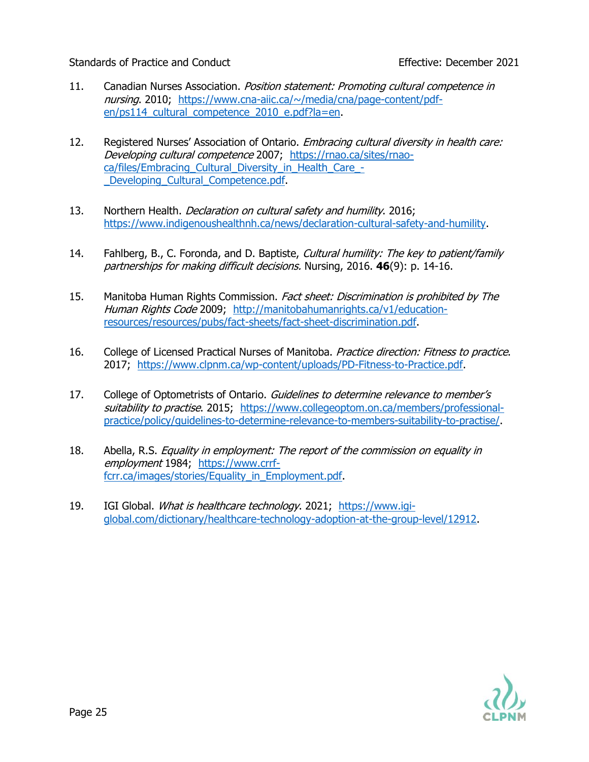- 11. Canadian Nurses Association. Position statement: Promoting cultural competence in nursing. 2010; [https://www.cna-aiic.ca/~/media/cna/page-content/pdf](https://www.cna-aiic.ca/~/media/cna/page-content/pdf-en/ps114_cultural_competence_2010_e.pdf?la=en)en/ps114 cultural competence 2010 e.pdf?la=en.
- 12. Registered Nurses' Association of Ontario. *Embracing cultural diversity in health care:* Developing cultural competence 2007; [https://rnao.ca/sites/rnao](https://rnao.ca/sites/rnao-ca/files/Embracing_Cultural_Diversity_in_Health_Care_-_Developing_Cultural_Competence.pdf)ca/files/Embracing Cultural Diversity in Health Care -Developing Cultural Competence.pdf.
- 13. Northern Health. *Declaration on cultural safety and humility*. 2016; [https://www.indigenoushealthnh.ca/news/declaration-cultural-safety-and-humility.](https://www.indigenoushealthnh.ca/news/declaration-cultural-safety-and-humility)
- 14. Fahlberg, B., C. Foronda, and D. Baptiste, *Cultural humility: The key to patient/family* partnerships for making difficult decisions. Nursing, 2016. **46**(9): p. 14-16.
- 15. Manitoba Human Rights Commission. Fact sheet: Discrimination is prohibited by The Human Rights Code 2009; [http://manitobahumanrights.ca/v1/education](http://manitobahumanrights.ca/v1/education-resources/resources/pubs/fact-sheets/fact-sheet-discrimination.pdf)[resources/resources/pubs/fact-sheets/fact-sheet-discrimination.pdf.](http://manitobahumanrights.ca/v1/education-resources/resources/pubs/fact-sheets/fact-sheet-discrimination.pdf)
- 16. College of Licensed Practical Nurses of Manitoba. Practice direction: Fitness to practice. 2017; [https://www.clpnm.ca/wp-content/uploads/PD-Fitness-to-Practice.pdf.](https://www.clpnm.ca/wp-content/uploads/PD-Fitness-to-Practice.pdf)
- 17. College of Optometrists of Ontario. Guidelines to determine relevance to member's suitability to practise. 2015; [https://www.collegeoptom.on.ca/members/professional](https://www.collegeoptom.on.ca/members/professional-practice/policy/guidelines-to-determine-relevance-to-members-suitability-to-practise/)[practice/policy/guidelines-to-determine-relevance-to-members-suitability-to-practise/.](https://www.collegeoptom.on.ca/members/professional-practice/policy/guidelines-to-determine-relevance-to-members-suitability-to-practise/)
- 18. Abella, R.S. Equality in employment: The report of the commission on equality in employment 1984; [https://www.crrf](https://www.crrf-fcrr.ca/images/stories/Equality_in_Employment.pdf)fcrr.ca/images/stories/Equality in Employment.pdf.
- 19. IGI Global. What is healthcare technology. 2021; [https://www.igi](https://www.igi-global.com/dictionary/healthcare-technology-adoption-at-the-group-level/12912)[global.com/dictionary/healthcare-technology-adoption-at-the-group-level/12912.](https://www.igi-global.com/dictionary/healthcare-technology-adoption-at-the-group-level/12912)

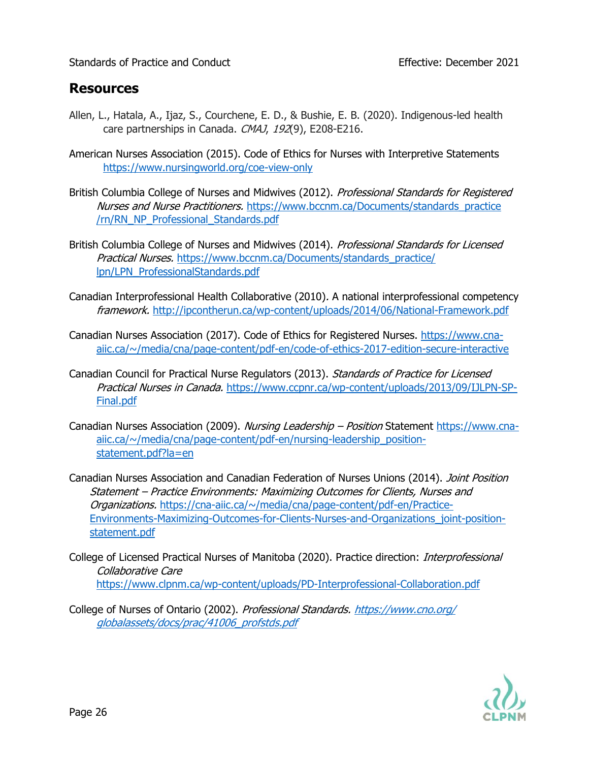## **Resources**

- Allen, L., Hatala, A., Ijaz, S., Courchene, E. D., & Bushie, E. B. (2020). Indigenous-led health care partnerships in Canada. CMAJ, 192(9), E208-E216.
- American Nurses Association (2015). Code of Ethics for Nurses with Interpretive Statements <https://www.nursingworld.org/coe-view-only>
- British Columbia College of Nurses and Midwives (2012). Professional Standards for Registered Nurses and Nurse Practitioners. https://www.bccnm.ca/Documents/standards\_practice [/rn/RN\\_NP\\_Professional\\_Standards.pdf](https://www.bccnm.ca/Documents/standards_practice%20/rn/RN_NP_Professional_Standards.pdf)
- British Columbia College of Nurses and Midwives (2014). Professional Standards for Licensed Practical Nurses. https://www.bccnm.ca/Documents/standards\_practice/ [lpn/LPN\\_ProfessionalStandards.pdf](https://www.bccnm.ca/Documents/standards_practice/%20lpn/LPN_ProfessionalStandards.pdf)
- Canadian Interprofessional Health Collaborative (2010). A national interprofessional competency framework. <http://ipcontherun.ca/wp-content/uploads/2014/06/National-Framework.pdf>
- Canadian Nurses Association (2017). Code of Ethics for Registered Nurses. [https://www.cna](https://www.cna-aiic.ca/~/media/cna/page-content/pdf-en/code-of-ethics-2017-edition-secure-interactive)[aiic.ca/~/media/cna/page-content/pdf-en/code-of-ethics-2017-edition-secure-interactive](https://www.cna-aiic.ca/~/media/cna/page-content/pdf-en/code-of-ethics-2017-edition-secure-interactive)
- Canadian Council for Practical Nurse Regulators (2013). Standards of Practice for Licensed Practical Nurses in Canada. [https://www.ccpnr.ca/wp-content/uploads/2013/09/IJLPN-SP-](https://www.ccpnr.ca/wp-content/uploads/2013/09/IJLPN-SP-Final.pdf)[Final.pdf](https://www.ccpnr.ca/wp-content/uploads/2013/09/IJLPN-SP-Final.pdf)
- Canadian Nurses Association (2009). Nursing Leadership Position Statement [https://www.cna](https://www.cna-aiic.ca/~/media/cna/page-content/pdf-en/nursing-leadership_position-statement.pdf?la=en)[aiic.ca/~/media/cna/page-content/pdf-en/nursing-leadership\\_position](https://www.cna-aiic.ca/~/media/cna/page-content/pdf-en/nursing-leadership_position-statement.pdf?la=en)[statement.pdf?la=en](https://www.cna-aiic.ca/~/media/cna/page-content/pdf-en/nursing-leadership_position-statement.pdf?la=en)
- Canadian Nurses Association and Canadian Federation of Nurses Unions (2014). Joint Position Statement – Practice Environments: Maximizing Outcomes for Clients, Nurses and Organizations. [https://cna-aiic.ca/~/media/cna/page-content/pdf-en/Practice-](https://cna-aiic.ca/~/media/cna/page-content/pdf-en/Practice-Environments-Maximizing-Outcomes-for-Clients-Nurses-and-Organizations_joint-position-statement.pdf)[Environments-Maximizing-Outcomes-for-Clients-Nurses-and-Organizations\\_joint-position](https://cna-aiic.ca/~/media/cna/page-content/pdf-en/Practice-Environments-Maximizing-Outcomes-for-Clients-Nurses-and-Organizations_joint-position-statement.pdf)[statement.pdf](https://cna-aiic.ca/~/media/cna/page-content/pdf-en/Practice-Environments-Maximizing-Outcomes-for-Clients-Nurses-and-Organizations_joint-position-statement.pdf)
- College of Licensed Practical Nurses of Manitoba (2020). Practice direction: *Interprofessional* Collaborative Care <https://www.clpnm.ca/wp-content/uploads/PD-Interprofessional-Collaboration.pdf>
- College of Nurses of Ontario (2002). Professional Standards. [https://www.cno.org/](https://www.cno.org/globalassets/docs/prac/41006_profstds.pdf)  [globalassets/docs/prac/41006\\_profstds.pdf](https://www.cno.org/globalassets/docs/prac/41006_profstds.pdf)

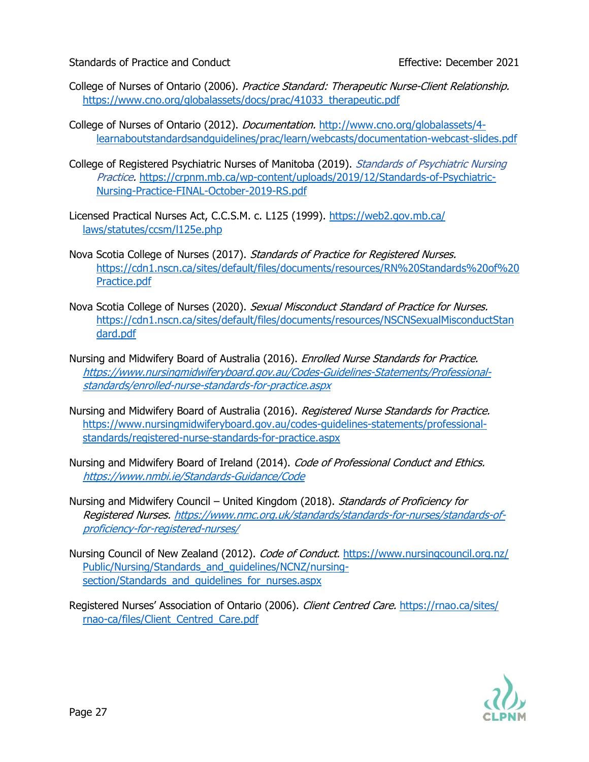- College of Nurses of Ontario (2006). Practice Standard: Therapeutic Nurse-Client Relationship. [https://www.cno.org/globalassets/docs/prac/41033\\_therapeutic.pdf](https://www.cno.org/globalassets/docs/prac/41033_therapeutic.pdf)
- College of Nurses of Ontario (2012). *Documentation.* [http://www.cno.org/globalassets/4](http://www.cno.org/globalassets/4-learnaboutstandardsandguidelines/prac/learn/webcasts/documentation-webcast-slides.pdf) [learnaboutstandardsandguidelines/prac/learn/webcasts/documentation-webcast-slides.pdf](http://www.cno.org/globalassets/4-learnaboutstandardsandguidelines/prac/learn/webcasts/documentation-webcast-slides.pdf)
- College of Registered Psychiatric Nurses of Manitoba (2019). Standards of Psychiatric Nursing Practice. [https://crpnm.mb.ca/wp-content/uploads/2019/12/Standards-of-Psychiatric-](https://crpnm.mb.ca/wp-content/uploads/2019/12/Standards-of-Psychiatric-Nursing-Practice-FINAL-October-2019-RS.pdf)[Nursing-Practice-FINAL-October-2019-RS.pdf](https://crpnm.mb.ca/wp-content/uploads/2019/12/Standards-of-Psychiatric-Nursing-Practice-FINAL-October-2019-RS.pdf)
- Licensed Practical Nurses Act, C.C.S.M. c. L125 (1999). https://web2.gov.mb.ca/ [laws/statutes/ccsm/l125e.php](https://web2.gov.mb.ca/%20laws/statutes/ccsm/l125e.php)
- Nova Scotia College of Nurses (2017). Standards of Practice for Registered Nurses. [https://cdn1.nscn.ca/sites/default/files/documents/resources/RN%20Standards%20of%20](https://cdn1.nscn.ca/sites/default/files/documents/resources/RN%20Standards%20of%20Practice.pdf) [Practice.pdf](https://cdn1.nscn.ca/sites/default/files/documents/resources/RN%20Standards%20of%20Practice.pdf)
- Nova Scotia College of Nurses (2020). Sexual Misconduct Standard of Practice for Nurses. [https://cdn1.nscn.ca/sites/default/files/documents/resources/NSCNSexualMisconductStan](https://cdn1.nscn.ca/sites/default/files/documents/resources/NSCNSexualMisconductStandard.pdf) [dard.pdf](https://cdn1.nscn.ca/sites/default/files/documents/resources/NSCNSexualMisconductStandard.pdf)
- Nursing and Midwifery Board of Australia (2016). *Enrolled Nurse Standards for Practice.* [https://www.nursingmidwiferyboard.gov.au/Codes-Guidelines-Statements/Professional](https://www.nursingmidwiferyboard.gov.au/Codes-Guidelines-Statements/Professional-standards/enrolled-nurse-standards-for-practice.aspx)[standards/enrolled-nurse-standards-for-practice.aspx](https://www.nursingmidwiferyboard.gov.au/Codes-Guidelines-Statements/Professional-standards/enrolled-nurse-standards-for-practice.aspx)
- Nursing and Midwifery Board of Australia (2016). Registered Nurse Standards for Practice. [https://www.nursingmidwiferyboard.gov.au/codes-guidelines-statements/professional](https://www.nursingmidwiferyboard.gov.au/codes-guidelines-statements/professional-standards/registered-nurse-standards-for-practice.aspx)[standards/registered-nurse-standards-for-practice.aspx](https://www.nursingmidwiferyboard.gov.au/codes-guidelines-statements/professional-standards/registered-nurse-standards-for-practice.aspx)
- Nursing and Midwifery Board of Ireland (2014). Code of Professional Conduct and Ethics. <https://www.nmbi.ie/Standards-Guidance/Code>
- Nursing and Midwifery Council United Kingdom (2018). Standards of Proficiency for Registered Nurses. [https://www.nmc.org.uk/standards/standards-for-nurses/standards-of](https://www.nmc.org.uk/standards/standards-for-nurses/standards-of-proficiency-for-registered-nurses/)[proficiency-for-registered-nurses/](https://www.nmc.org.uk/standards/standards-for-nurses/standards-of-proficiency-for-registered-nurses/)
- Nursing Council of New Zealand (2012). *Code of Conduct.* https://www.nursingcouncil.org.nz/ [Public/Nursing/Standards\\_and\\_guidelines/NCNZ/nursing](https://www.nursingcouncil.org.nz/%20Public/Nursing/Standards_and_guidelines/NCNZ/nursing-section/Standards_and_guidelines_for_nurses.aspx)section/Standards\_and\_quidelines\_for\_nurses.aspx
- Registered Nurses' Association of Ontario (2006). Client Centred Care. https://rnao.ca/sites/ [rnao-ca/files/Client\\_Centred\\_Care.pdf](https://rnao.ca/sites/%20rnao-ca/files/Client_Centred_Care.pdf)